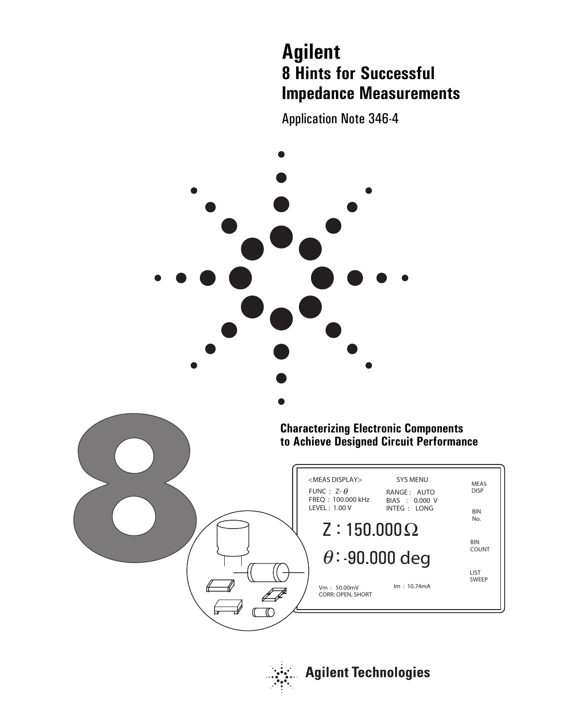# **Agilent 8 Hints for Successful Impedance Measurements**

Application Note 346-4



![](_page_0_Picture_3.jpeg)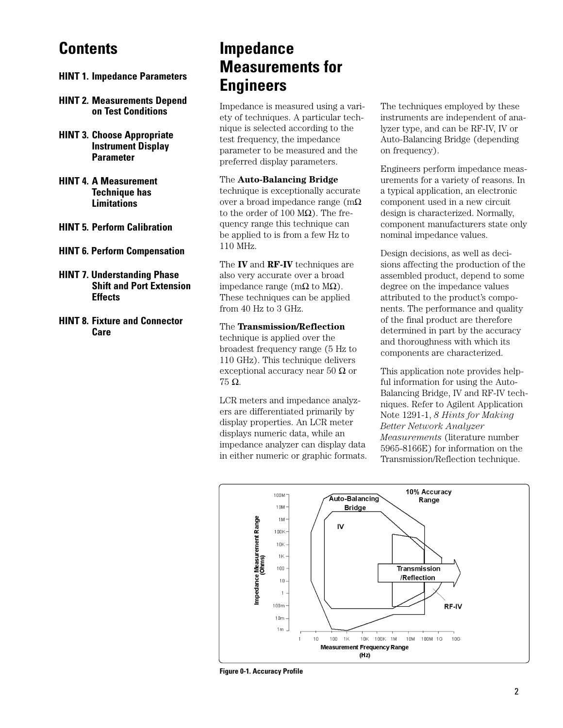## **Contents**

- **HINT 1. Impedance Parameters**
- **HINT 2. Measurements Depend on Test Conditions**
- **HINT 3. Choose Appropriate Instrument Display Parameter**
- **HINT 4. A Measurement Technique has Limitations**
- **HINT 5. Perform Calibration**
- **HINT 6. Perform Compensation**
- **HINT 7. Understanding Phase Shift and Port Extension Effects**
- **HINT 8. Fixture and Connector Care**

## **Impedance Measurements for Engineers**

Impedance is measured using a variety of techniques. A particular technique is selected according to the test frequency, the impedance parameter to be measured and the preferred display parameters.

#### The **Auto-Balancing Bridge**

technique is exceptionally accurate over a broad impedance range (mΩ to the order of 100  $MΩ$ ). The frequency range this technique can be applied to is from a few Hz to 110 MHz.

The **IV** and **RF-IV** techniques are also very accurate over a broad impedance range (mΩ to  $MΩ$ ). These techniques can be applied from 40 Hz to 3 GHz.

#### The **Transmission/Reflection**

technique is applied over the broadest frequency range (5 Hz to 110 GHz). This technique delivers exceptional accuracy near 50  $\Omega$  or 75 Ω.

LCR meters and impedance analyzers are differentiated primarily by display properties. An LCR meter displays numeric data, while an impedance analyzer can display data in either numeric or graphic formats. The techniques employed by these instruments are independent of analyzer type, and can be RF-IV, IV or Auto-Balancing Bridge (depending on frequency).

Engineers perform impedance measurements for a variety of reasons. In a typical application, an electronic component used in a new circuit design is characterized. Normally, component manufacturers state only nominal impedance values.

Design decisions, as well as decisions affecting the production of the assembled product, depend to some degree on the impedance values attributed to the product's components. The performance and quality of the final product are therefore determined in part by the accuracy and thoroughness with which its components are characterized.

This application note provides helpful information for using the Auto-Balancing Bridge, IV and RF-IV techniques. Refer to Agilent Application Note 1291-1, *8 Hints for Making Better Network Analyzer Measurements* (literature number 5965-8166E) for information on the Transmission/Reflection technique.

![](_page_1_Figure_21.jpeg)

**Figure 0-1. Accuracy Profile**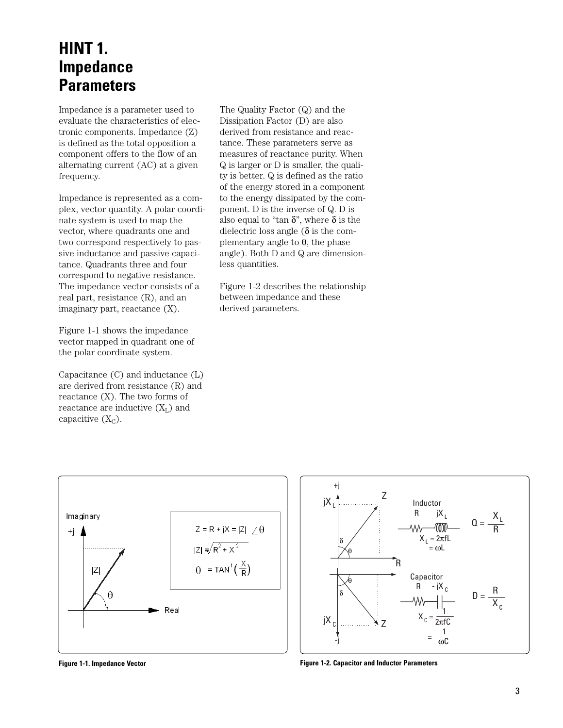### **HINT 1. Impedance Parameters**

Impedance is a parameter used to evaluate the characteristics of electronic components. Impedance (Z) is defined as the total opposition a component offers to the flow of an alternating current (AC) at a given frequency.

Impedance is represented as a complex, vector quantity. A polar coordinate system is used to map the vector, where quadrants one and two correspond respectively to passive inductance and passive capacitance. Quadrants three and four correspond to negative resistance. The impedance vector consists of a real part, resistance (R), and an imaginary part, reactance (X).

Figure 1-1 shows the impedance vector mapped in quadrant one of the polar coordinate system.

Capacitance (C) and inductance (L) are derived from resistance (R) and reactance (X). The two forms of reactance are inductive  $(X_L)$  and capacitive  $(X_C)$ .

The Quality Factor (Q) and the Dissipation Factor (D) are also derived from resistance and reactance. These parameters serve as measures of reactance purity. When Q is larger or D is smaller, the quality is better. Q is defined as the ratio of the energy stored in a component to the energy dissipated by the component. D is the inverse of Q. D is also equal to "tan  $\delta$ ", where  $\delta$  is the dielectric loss angle ( $\delta$  is the complementary angle to  $θ$ , the phase angle). Both D and Q are dimensionless quantities.

Figure 1-2 describes the relationship between impedance and these derived parameters.

![](_page_2_Figure_7.jpeg)

![](_page_2_Figure_8.jpeg)

**Figure 1-1. Impedance Vector Figure 1-2. Capacitor and Inductor Parameters**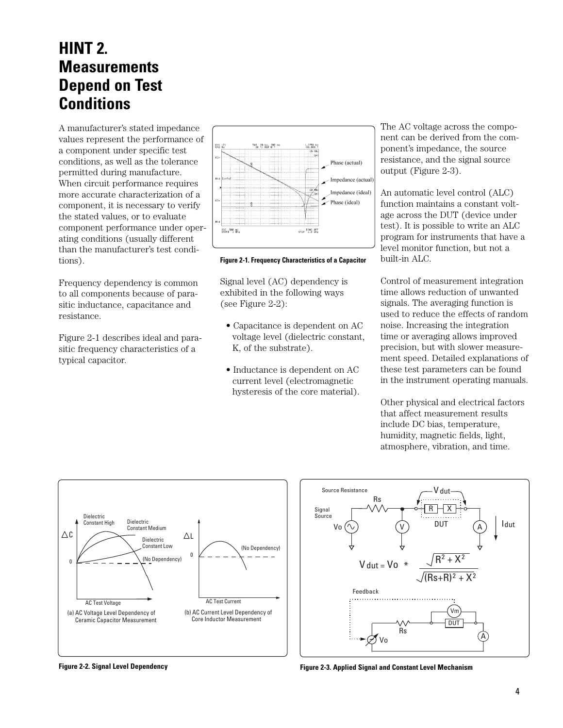## **HINT 2. Measurements Depend on Test Conditions**

A manufacturer's stated impedance values represent the performance of a component under specific test conditions, as well as the tolerance permitted during manufacture. When circuit performance requires more accurate characterization of a component, it is necessary to verify the stated values, or to evaluate component performance under operating conditions (usually different than the manufacturer's test conditions).

Frequency dependency is common to all components because of parasitic inductance, capacitance and resistance.

Figure 2-1 describes ideal and parasitic frequency characteristics of a typical capacitor.

![](_page_3_Figure_4.jpeg)

**Figure 2-1. Frequency Characteristics of a Capacitor**

Signal level (AC) dependency is exhibited in the following ways (see Figure 2-2):

- Capacitance is dependent on AC voltage level (dielectric constant, K, of the substrate).
- Inductance is dependent on AC current level (electromagnetic hysteresis of the core material).

The AC voltage across the component can be derived from the component's impedance, the source resistance, and the signal source output (Figure 2-3).

An automatic level control (ALC) function maintains a constant voltage across the DUT (device under test). It is possible to write an ALC program for instruments that have a level monitor function, but not a built-in ALC.

Control of measurement integration time allows reduction of unwanted signals. The averaging function is used to reduce the effects of random noise. Increasing the integration time or averaging allows improved precision, but with slower measurement speed. Detailed explanations of these test parameters can be found in the instrument operating manuals.

Other physical and electrical factors that affect measurement results include DC bias, temperature, humidity, magnetic fields, light, atmosphere, vibration, and time.

![](_page_3_Figure_13.jpeg)

![](_page_3_Figure_14.jpeg)

**Figure 2-2. Signal Level Dependency Figure 2-3. Applied Signal and Constant Level Mechanism**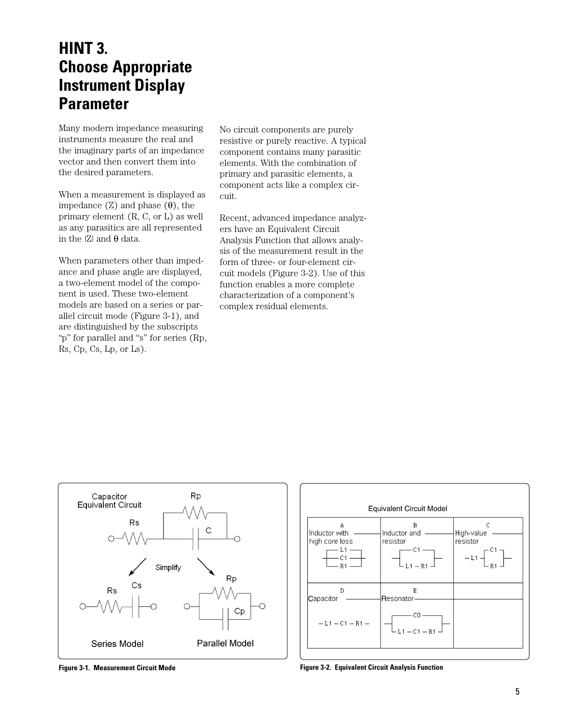### **HINT 3. Choose Appropriate Instrument Display Parameter**

Many modern impedance measuring instruments measure the real and the imaginary parts of an impedance vector and then convert them into the desired parameters.

When a measurement is displayed as impedance  $(Z)$  and phase  $(θ)$ , the primary element (R, C, or L) as well as any parasitics are all represented in the  $|Z|$  and  $θ$  data.

When parameters other than impedance and phase angle are displayed, a two-element model of the component is used. These two-element models are based on a series or parallel circuit mode (Figure 3-1), and are distinguished by the subscripts "p" for parallel and "s" for series (Rp, Rs, Cp, Cs, Lp, or Ls).

No circuit components are purely resistive or purely reactive. A typical component contains many parasitic elements. With the combination of primary and parasitic elements, a component acts like a complex circuit.

Recent, advanced impedance analyzers have an Equivalent Circuit Analysis Function that allows analysis of the measurement result in the form of three- or four-element circuit models (Figure 3-2). Use of this function enables a more complete characterization of a component's complex residual elements.

![](_page_4_Figure_6.jpeg)

![](_page_4_Figure_7.jpeg)

![](_page_4_Figure_8.jpeg)

**Figure 3-1. Measurement Circuit Mode Figure 3-2. Equivalent Circuit Analysis Function**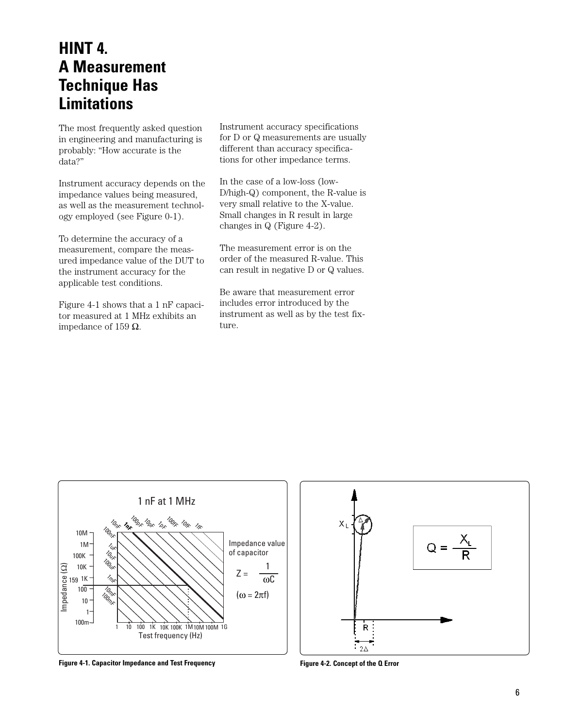### **HINT 4. A Measurement Technique Has Limitations**

The most frequently asked question in engineering and manufacturing is probably: "How accurate is the data?"

Instrument accuracy depends on the impedance values being measured, as well as the measurement technology employed (see Figure 0-1).

To determine the accuracy of a measurement, compare the measured impedance value of the DUT to the instrument accuracy for the applicable test conditions.

Figure 4-1 shows that a 1 nF capacitor measured at 1 MHz exhibits an impedance of 159  $Ω$ .

Instrument accuracy specifications for D or Q measurements are usually different than accuracy specifications for other impedance terms.

In the case of a low-loss (low-D/high-Q) component, the R-value is very small relative to the X-value. Small changes in R result in large changes in Q (Figure 4-2).

The measurement error is on the order of the measured R-value. This can result in negative D or Q values.

Be aware that measurement error includes error introduced by the instrument as well as by the test fixture.

![](_page_5_Figure_9.jpeg)

**Figure 4-1. Capacitor Impedance and Test Frequency Figure 4-2. Concept of the Q Error**

![](_page_5_Figure_11.jpeg)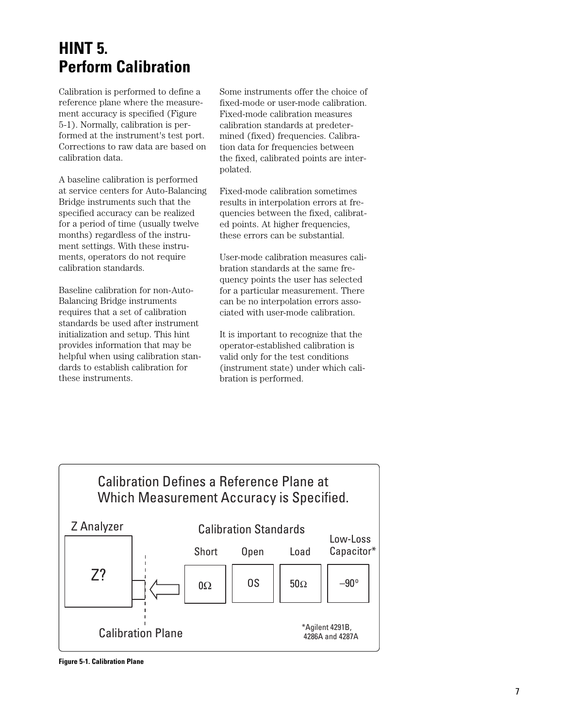### **HINT 5. Perform Calibration**

Calibration is performed to define a reference plane where the measurement accuracy is specified (Figure 5-1). Normally, calibration is performed at the instrument's test port. Corrections to raw data are based on calibration data.

A baseline calibration is performed at service centers for Auto-Balancing Bridge instruments such that the specified accuracy can be realized for a period of time (usually twelve months) regardless of the instrument settings. With these instruments, operators do not require calibration standards.

Baseline calibration for non-Auto-Balancing Bridge instruments requires that a set of calibration standards be used after instrument initialization and setup. This hint provides information that may be helpful when using calibration standards to establish calibration for these instruments.

Some instruments offer the choice of fixed-mode or user-mode calibration. Fixed-mode calibration measures calibration standards at predetermined (fixed) frequencies. Calibration data for frequencies between the fixed, calibrated points are interpolated.

Fixed-mode calibration sometimes results in interpolation errors at frequencies between the fixed, calibrated points. At higher frequencies, these errors can be substantial.

User-mode calibration measures calibration standards at the same frequency points the user has selected for a particular measurement. There can be no interpolation errors associated with user-mode calibration.

It is important to recognize that the operator-established calibration is valid only for the test conditions (instrument state) under which calibration is performed.

![](_page_6_Figure_8.jpeg)

**Figure 5-1. Calibration Plane**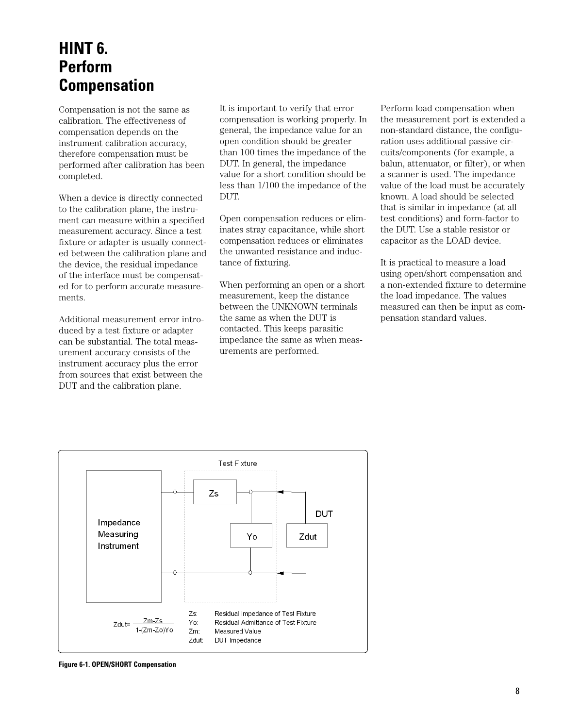### **HINT 6. Perform Compensation**

Compensation is not the same as calibration. The effectiveness of compensation depends on the instrument calibration accuracy, therefore compensation must be performed after calibration has been completed.

When a device is directly connected to the calibration plane, the instrument can measure within a specified measurement accuracy. Since a test fixture or adapter is usually connected between the calibration plane and the device, the residual impedance of the interface must be compensated for to perform accurate measurements.

Additional measurement error introduced by a test fixture or adapter can be substantial. The total measurement accuracy consists of the instrument accuracy plus the error from sources that exist between the DUT and the calibration plane.

It is important to verify that error compensation is working properly. In general, the impedance value for an open condition should be greater than 100 times the impedance of the DUT. In general, the impedance value for a short condition should be less than 1/100 the impedance of the DUT.

Open compensation reduces or eliminates stray capacitance, while short compensation reduces or eliminates the unwanted resistance and inductance of fixturing.

When performing an open or a short measurement, keep the distance between the UNKNOWN terminals the same as when the DUT is contacted. This keeps parasitic impedance the same as when measurements are performed.

Perform load compensation when the measurement port is extended a non-standard distance, the configuration uses additional passive circuits/components (for example, a balun, attenuator, or filter), or when a scanner is used. The impedance value of the load must be accurately known. A load should be selected that is similar in impedance (at all test conditions) and form-factor to the DUT. Use a stable resistor or capacitor as the LOAD device.

It is practical to measure a load using open/short compensation and a non-extended fixture to determine the load impedance. The values measured can then be input as compensation standard values.

![](_page_7_Figure_9.jpeg)

**Figure 6-1. OPEN/SHORT Compensation**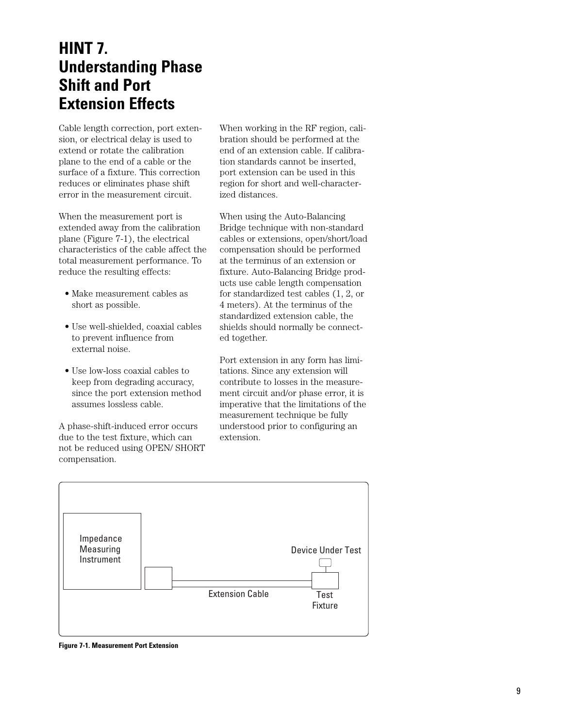### **HINT 7. Understanding Phase Shift and Port Extension Effects**

Cable length correction, port extension, or electrical delay is used to extend or rotate the calibration plane to the end of a cable or the surface of a fixture. This correction reduces or eliminates phase shift error in the measurement circuit.

When the measurement port is extended away from the calibration plane (Figure 7-1), the electrical characteristics of the cable affect the total measurement performance. To reduce the resulting effects:

- Make measurement cables as short as possible.
- Use well-shielded, coaxial cables to prevent influence from external noise.
- Use low-loss coaxial cables to keep from degrading accuracy, since the port extension method assumes lossless cable.

A phase-shift-induced error occurs due to the test fixture, which can not be reduced using OPEN/ SHORT compensation.

When working in the RF region, calibration should be performed at the end of an extension cable. If calibration standards cannot be inserted, port extension can be used in this region for short and well-characterized distances.

When using the Auto-Balancing Bridge technique with non-standard cables or extensions, open/short/load compensation should be performed at the terminus of an extension or fixture. Auto-Balancing Bridge products use cable length compensation for standardized test cables (1, 2, or 4 meters). At the terminus of the standardized extension cable, the shields should normally be connected together.

Port extension in any form has limitations. Since any extension will contribute to losses in the measurement circuit and/or phase error, it is imperative that the limitations of the measurement technique be fully understood prior to configuring an extension.

![](_page_8_Figure_10.jpeg)

**Figure 7-1. Measurement Port Extension**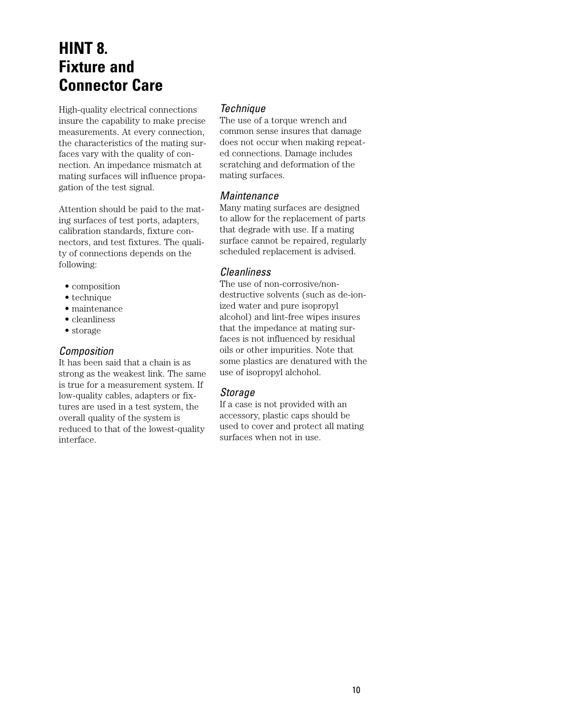### **HINT 8. Fixture and Connector Care**

High-quality electrical connections insure the capability to make precise measurements. At every connection, the characteristics of the mating surfaces vary with the quality of connection. An impedance mismatch at mating surfaces will influence propagation of the test signal.

Attention should be paid to the mating surfaces of test ports, adapters, calibration standards, fixture connectors, and test fixtures. The quality of connections depends on the following:

- composition
- technique
- maintenance
- cleanliness
- storage

#### *Composition*

It has been said that a chain is as strong as the weakest link. The same is true for a measurement system. If low-quality cables, adapters or fixtures are used in a test system, the overall quality of the system is reduced to that of the lowest-quality interface.

#### *Technique*

The use of a torque wrench and common sense insures that damage does not occur when making repeated connections. Damage includes scratching and deformation of the mating surfaces.

#### *Maintenance*

Many mating surfaces are designed to allow for the replacement of parts that degrade with use. If a mating surface cannot be repaired, regularly scheduled replacement is advised.

#### *Cleanliness*

The use of non-corrosive/nondestructive solvents (such as de-ionized water and pure isopropyl alcohol) and lint-free wipes insures that the impedance at mating surfaces is not influenced by residual oils or other impurities. Note that some plastics are denatured with the use of isopropyl alchohol.

#### *Storage*

If a case is not provided with an accessory, plastic caps should be used to cover and protect all mating surfaces when not in use.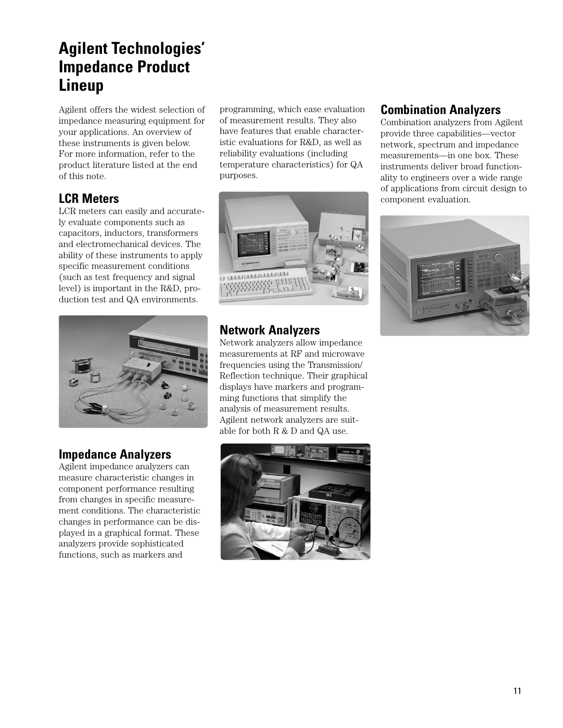## **Agilent Technologies' Impedance Product Lineup**

Agilent offers the widest selection of impedance measuring equipment for your applications. An overview of these instruments is given below. For more information, refer to the product literature listed at the end of this note.

### **LCR Meters**

LCR meters can easily and accurately evaluate components such as capacitors, inductors, transformers and electromechanical devices. The ability of these instruments to apply specific measurement conditions (such as test frequency and signal level) is important in the R&D, production test and QA environments.

![](_page_10_Picture_4.jpeg)

### **Impedance Analyzers**

Agilent impedance analyzers can measure characteristic changes in component performance resulting from changes in specific measurement conditions. The characteristic changes in performance can be displayed in a graphical format. These analyzers provide sophisticated functions, such as markers and

programming, which ease evaluation of measurement results. They also have features that enable characteristic evaluations for R&D, as well as reliability evaluations (including temperature characteristics) for QA purposes.

![](_page_10_Picture_8.jpeg)

### **Network Analyzers**

Network analyzers allow impedance measurements at RF and microwave frequencies using the Transmission/ Reflection technique. Their graphical displays have markers and programming functions that simplify the analysis of measurement results. Agilent network analyzers are suitable for both R & D and QA use.

![](_page_10_Picture_11.jpeg)

### **Combination Analyzers**

Combination analyzers from Agilent provide three capabilities—vector network, spectrum and impedance measurements—in one box. These instruments deliver broad functionality to engineers over a wide range of applications from circuit design to component evaluation.

![](_page_10_Picture_14.jpeg)